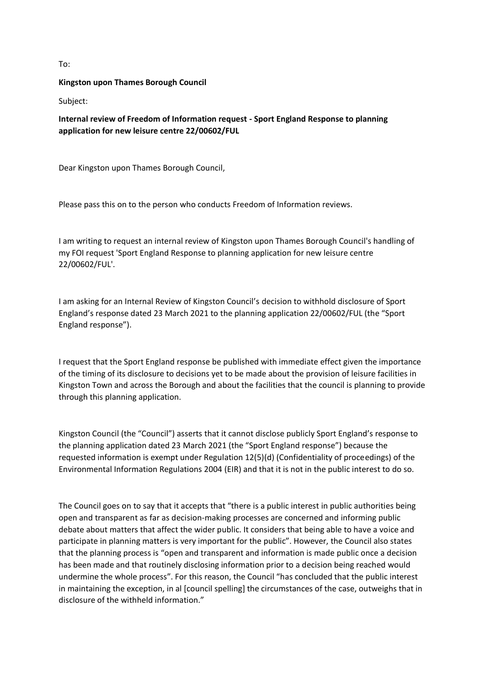## To:

## **Kingston upon Thames Borough Council**

Subject:

**Internal review of Freedom of Information request - Sport England Response to planning application for new leisure centre 22/00602/FUL**

Dear Kingston upon Thames Borough Council,

Please pass this on to the person who conducts Freedom of Information reviews.

I am writing to request an internal review of Kingston upon Thames Borough Council's handling of my FOI request 'Sport England Response to planning application for new leisure centre 22/00602/FUL'.

I am asking for an Internal Review of Kingston Council's decision to withhold disclosure of Sport England's response dated 23 March 2021 to the planning application 22/00602/FUL (the "Sport England response").

I request that the Sport England response be published with immediate effect given the importance of the timing of its disclosure to decisions yet to be made about the provision of leisure facilities in Kingston Town and across the Borough and about the facilities that the council is planning to provide through this planning application.

Kingston Council (the "Council") asserts that it cannot disclose publicly Sport England's response to the planning application dated 23 March 2021 (the "Sport England response") because the requested information is exempt under Regulation 12(5)(d) (Confidentiality of proceedings) of the Environmental Information Regulations 2004 (EIR) and that it is not in the public interest to do so.

The Council goes on to say that it accepts that "there is a public interest in public authorities being open and transparent as far as decision-making processes are concerned and informing public debate about matters that affect the wider public. It considers that being able to have a voice and participate in planning matters is very important for the public". However, the Council also states that the planning process is "open and transparent and information is made public once a decision has been made and that routinely disclosing information prior to a decision being reached would undermine the whole process". For this reason, the Council "has concluded that the public interest in maintaining the exception, in al [council spelling] the circumstances of the case, outweighs that in disclosure of the withheld information."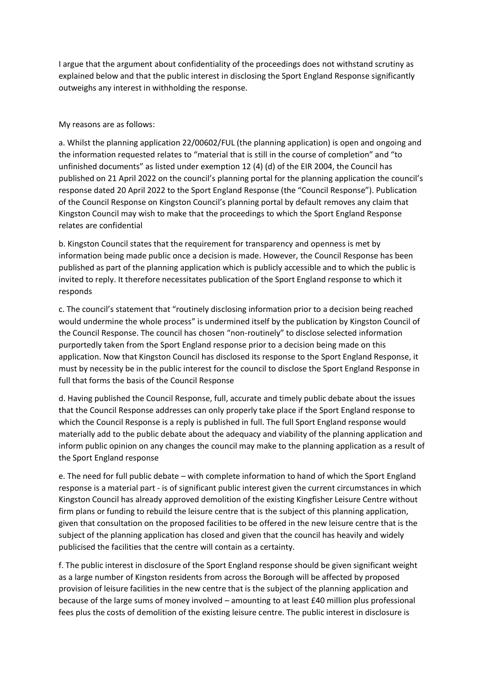I argue that the argument about confidentiality of the proceedings does not withstand scrutiny as explained below and that the public interest in disclosing the Sport England Response significantly outweighs any interest in withholding the response.

## My reasons are as follows:

a. Whilst the planning application 22/00602/FUL (the planning application) is open and ongoing and the information requested relates to "material that is still in the course of completion" and "to unfinished documents" as listed under exemption 12 (4) (d) of the EIR 2004, the Council has published on 21 April 2022 on the council's planning portal for the planning application the council's response dated 20 April 2022 to the Sport England Response (the "Council Response"). Publication of the Council Response on Kingston Council's planning portal by default removes any claim that Kingston Council may wish to make that the proceedings to which the Sport England Response relates are confidential

b. Kingston Council states that the requirement for transparency and openness is met by information being made public once a decision is made. However, the Council Response has been published as part of the planning application which is publicly accessible and to which the public is invited to reply. It therefore necessitates publication of the Sport England response to which it responds

c. The council's statement that "routinely disclosing information prior to a decision being reached would undermine the whole process" is undermined itself by the publication by Kingston Council of the Council Response. The council has chosen "non-routinely" to disclose selected information purportedly taken from the Sport England response prior to a decision being made on this application. Now that Kingston Council has disclosed its response to the Sport England Response, it must by necessity be in the public interest for the council to disclose the Sport England Response in full that forms the basis of the Council Response

d. Having published the Council Response, full, accurate and timely public debate about the issues that the Council Response addresses can only properly take place if the Sport England response to which the Council Response is a reply is published in full. The full Sport England response would materially add to the public debate about the adequacy and viability of the planning application and inform public opinion on any changes the council may make to the planning application as a result of the Sport England response

e. The need for full public debate – with complete information to hand of which the Sport England response is a material part - is of significant public interest given the current circumstances in which Kingston Council has already approved demolition of the existing Kingfisher Leisure Centre without firm plans or funding to rebuild the leisure centre that is the subject of this planning application, given that consultation on the proposed facilities to be offered in the new leisure centre that is the subject of the planning application has closed and given that the council has heavily and widely publicised the facilities that the centre will contain as a certainty.

f. The public interest in disclosure of the Sport England response should be given significant weight as a large number of Kingston residents from across the Borough will be affected by proposed provision of leisure facilities in the new centre that is the subject of the planning application and because of the large sums of money involved – amounting to at least £40 million plus professional fees plus the costs of demolition of the existing leisure centre. The public interest in disclosure is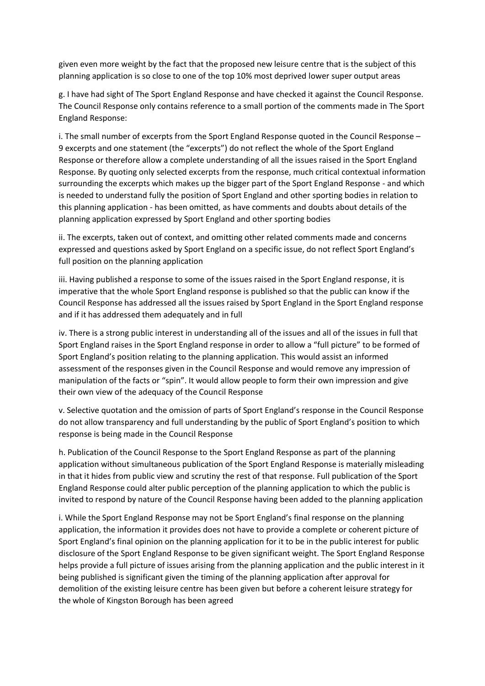given even more weight by the fact that the proposed new leisure centre that is the subject of this planning application is so close to one of the top 10% most deprived lower super output areas

g. I have had sight of The Sport England Response and have checked it against the Council Response. The Council Response only contains reference to a small portion of the comments made in The Sport England Response:

i. The small number of excerpts from the Sport England Response quoted in the Council Response – 9 excerpts and one statement (the "excerpts") do not reflect the whole of the Sport England Response or therefore allow a complete understanding of all the issues raised in the Sport England Response. By quoting only selected excerpts from the response, much critical contextual information surrounding the excerpts which makes up the bigger part of the Sport England Response - and which is needed to understand fully the position of Sport England and other sporting bodies in relation to this planning application - has been omitted, as have comments and doubts about details of the planning application expressed by Sport England and other sporting bodies

ii. The excerpts, taken out of context, and omitting other related comments made and concerns expressed and questions asked by Sport England on a specific issue, do not reflect Sport England's full position on the planning application

iii. Having published a response to some of the issues raised in the Sport England response, it is imperative that the whole Sport England response is published so that the public can know if the Council Response has addressed all the issues raised by Sport England in the Sport England response and if it has addressed them adequately and in full

iv. There is a strong public interest in understanding all of the issues and all of the issues in full that Sport England raises in the Sport England response in order to allow a "full picture" to be formed of Sport England's position relating to the planning application. This would assist an informed assessment of the responses given in the Council Response and would remove any impression of manipulation of the facts or "spin". It would allow people to form their own impression and give their own view of the adequacy of the Council Response

v. Selective quotation and the omission of parts of Sport England's response in the Council Response do not allow transparency and full understanding by the public of Sport England's position to which response is being made in the Council Response

h. Publication of the Council Response to the Sport England Response as part of the planning application without simultaneous publication of the Sport England Response is materially misleading in that it hides from public view and scrutiny the rest of that response. Full publication of the Sport England Response could alter public perception of the planning application to which the public is invited to respond by nature of the Council Response having been added to the planning application

i. While the Sport England Response may not be Sport England's final response on the planning application, the information it provides does not have to provide a complete or coherent picture of Sport England's final opinion on the planning application for it to be in the public interest for public disclosure of the Sport England Response to be given significant weight. The Sport England Response helps provide a full picture of issues arising from the planning application and the public interest in it being published is significant given the timing of the planning application after approval for demolition of the existing leisure centre has been given but before a coherent leisure strategy for the whole of Kingston Borough has been agreed